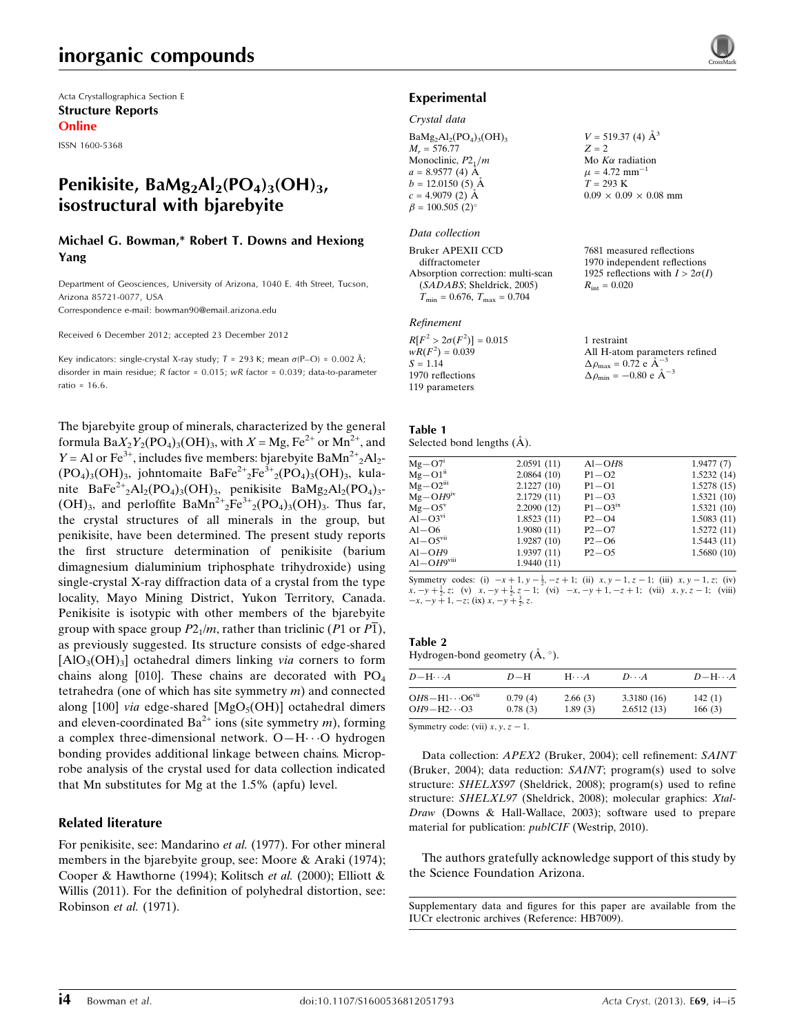### inorganic compounds

Acta Crystallographica Section E Structure Reports Online

ISSN 1600-5368

### Penikisite, BaMg<sub>2</sub>Al<sub>2</sub>(PO<sub>4</sub>)<sub>3</sub>(OH)<sub>3</sub>, isostructural with bjarebyite

### Michael G. Bowman,\* Robert T. Downs and Hexiong Yang

Department of Geosciences, University of Arizona, 1040 E. 4th Street, Tucson, Arizona 85721-0077, USA

Correspondence e-mail: [bowman90@email.arizona.edu](https://scripts.iucr.org/cgi-bin/cr.cgi?rm=pdfbb&cnor=hb7009&bbid=BB11)

Received 6 December 2012; accepted 23 December 2012

Key indicators: single-crystal X-ray study;  $T = 293$  K; mean  $\sigma$ (P-O) = 0.002 Å; disorder in main residue; R factor = 0.015; wR factor = 0.039; data-to-parameter ratio = 16.6.

The bjarebyite group of minerals, characterized by the general formula  $BaX_2Y_2(PO_4)_3(OH)_3$ , with  $X = Mg$ ,  $Fe^{2+}$  or  $Mn^{2+}$ , and  $Y = Al$  or Fe<sup>3+</sup>, includes five members: bjarebyite BaMn<sup>2+</sup><sub>2</sub>Al<sub>2</sub>- $(PO_4)_3(OH)_3$ , johntomaite BaFe<sup>2+</sup><sub>2</sub>Fe<sup>3+</sup><sub>2</sub>(PO<sub>4</sub>)<sub>3</sub>(OH)<sub>3</sub>, kulanite BaFe<sup>2+</sup><sub>2</sub>Al<sub>2</sub>(PO<sub>4</sub>)<sub>3</sub>(OH)<sub>3</sub>, penikisite BaMg<sub>2</sub>Al<sub>2</sub>(PO<sub>4</sub>)<sub>3</sub>-(OH)<sub>3</sub>, and perloffite BaMn<sup>2+</sup><sub>2</sub>Fe<sup>3+</sup><sub>2</sub>(PO<sub>4</sub>)<sub>3</sub>(OH)<sub>3</sub>. Thus far, the crystal structures of all minerals in the group, but penikisite, have been determined. The present study reports the first structure determination of penikisite (barium dimagnesium dialuminium triphosphate trihydroxide) using single-crystal X-ray diffraction data of a crystal from the type locality, Mayo Mining District, Yukon Territory, Canada. Penikisite is isotypic with other members of the bjarebyite group with space group  $P2_1/m$ , rather than triclinic (P1 or  $\overline{P1}$ ), as previously suggested. Its structure consists of edge-shared  $[AlO<sub>3</sub>(OH)<sub>3</sub>]$  octahedral dimers linking *via* corners to form chains along [010]. These chains are decorated with  $PO<sub>4</sub>$ tetrahedra (one of which has site symmetry  $m$ ) and connected along [100] *via* edge-shared  $[MgO<sub>5</sub>(OH)]$  octahedral dimers and eleven-coordinated  $Ba^{2+}$  ions (site symmetry *m*), forming a complex three-dimensional network. O-H··· O hydrogen bonding provides additional linkage between chains. Microprobe analysis of the crystal used for data collection indicated that Mn substitutes for Mg at the 1.5% (apfu) level.

### Related literature

For penikisite, see: Mandarino et al. (1977). For other mineral members in the bjarebyite group, see: Moore & Araki (1974); Cooper & Hawthorne (1994); Kolitsch et al. (2000); Elliott & Willis (2011). For the definition of polyhedral distortion, see: Robinson et al. (1971).



### Experimental

#### Crystal data

 $BaMg<sub>2</sub>Al<sub>2</sub>(PO<sub>4</sub>)<sub>3</sub>(OH)<sub>3</sub>$  $M<sub>r</sub> = 576.77$ Monoclinic,  $P2_1/m$  $a = 8.9577(4)$  Å  $b = 12.0150(5)$  Å  $c = 4.9079(2)$  Å  $\beta = 100.505 (2)$ 

#### Data collection

Bruker APEXII CCD diffractometer Absorption correction: multi-scan (SADABS; Sheldrick, 2005)  $T_{\text{min}} = 0.676$ ,  $T_{\text{max}} = 0.704$ 

#### Refinement

| $R[F^2 > 2\sigma(F^2)] = 0.015$ | 1 restraint                                                 |
|---------------------------------|-------------------------------------------------------------|
| $wR(F^2) = 0.039$               | All H-atom parameters refined                               |
| $S = 1.14$                      | $\Delta \rho_{\text{max}} = 0.72 \text{ e A}^{-3}$          |
| 1970 reflections                | $\Delta \rho_{\text{min}} = -0.80 \text{ e} \text{ Å}^{-3}$ |
| 119 parameters                  |                                                             |

 $V = 519.37$  (4)  $\AA^3$ 

Mo  $K\alpha$  radiation  $\mu$  = 4.72 mm<sup>-1</sup>  $T = 293 K$ 

 $R_{\text{int}} = 0.020$ 

 $0.09 \times 0.09 \times 0.08$  mm

7681 measured reflections 1970 independent reflections 1925 reflections with  $I > 2\sigma(I)$ 

 $Z = 2$ 

Table 1 Selected bond lengths  $(A)$ .

| $Mg-O7i$                 | 2.0591(11) | $Al-OH8$                | 1.9477(7)  |
|--------------------------|------------|-------------------------|------------|
| $Mg-O1ii$                | 2.0864(10) | $P1 - O2$               | 1.5232(14) |
| $Mg - O2iii$             | 2.1227(10) | $P1 - O1$               | 1.5278(15) |
| $Mg$ – $OH9iv$           | 2.1729(11) | $P1 - O3$               | 1.5321(10) |
| $Mg - O5^{\rm v}$        | 2.2090(12) | $P1 - O3$ <sup>ix</sup> | 1.5321(10) |
| $Al-O3vi$                | 1.8523(11) | $P2 - O4$               | 1.5083(11) |
| Al-O6                    | 1.9080(11) | $P2-O7$                 | 1.5272(11) |
| $Al-OSvi$                | 1.9287(10) | $P2 - O6$               | 1.5443(11) |
| $Al-OH9$                 | 1.9397(11) | $P2 - O5$               | 1.5680(10) |
| $Al-OH9$ <sup>viii</sup> | 1.9440(11) |                         |            |
|                          |            |                         |            |

Symmetry codes: (i)  $-x+1$ ,  $y - \frac{1}{2}$ ,  $-z + 1$ ; (ii)  $x, y - 1, z - 1$ ; (iii)  $x, y - 1, z$ ; (iv)  $x, -y + \frac{1}{2}, z$ ; (v)  $x, -y + \frac{1}{2}, z - 1$ ; (vi)  $-x, -y + 1, -z + 1$ ; (vii)  $x, y, z - 1$ ; (viii)  $-x, -y + 1, -z$ ; (ix)  $x, -y + \frac{3}{2}, z$ .

### Table 2

Hydrogen-bond geometry  $(\mathring{A}, \degree)$ .

| $D - H \cdots A$                 | $D-H$   | $H \cdots A$ | $D\cdots A$ | $D-H\cdots A$ |
|----------------------------------|---------|--------------|-------------|---------------|
| $OH8-H1\cdots$ O6 <sup>vii</sup> | 0.79(4) | 2.66(3)      | 3.3180(16)  | 142(1)        |
| $OH9-H2\cdots O3$                | 0.78(3) | 1.89(3)      | 2.6512(13)  | 166(3)        |

Symmetry code: (vii)  $x, y, z - 1$ .

Data collection: APEX2 (Bruker, 2004); cell refinement: SAINT (Bruker, 2004); data reduction: SAINT; program(s) used to solve structure: SHELXS97 (Sheldrick, 2008); program(s) used to refine structure: SHELXL97 (Sheldrick, 2008); molecular graphics: Xtal-Draw (Downs & Hall-Wallace, 2003); software used to prepare material for publication: publCIF (Westrip, 2010).

The authors gratefully acknowledge support of this study by the Science Foundation Arizona.

Supplementary data and figures for this paper are available from the IUCr electronic archives (Reference: HB7009).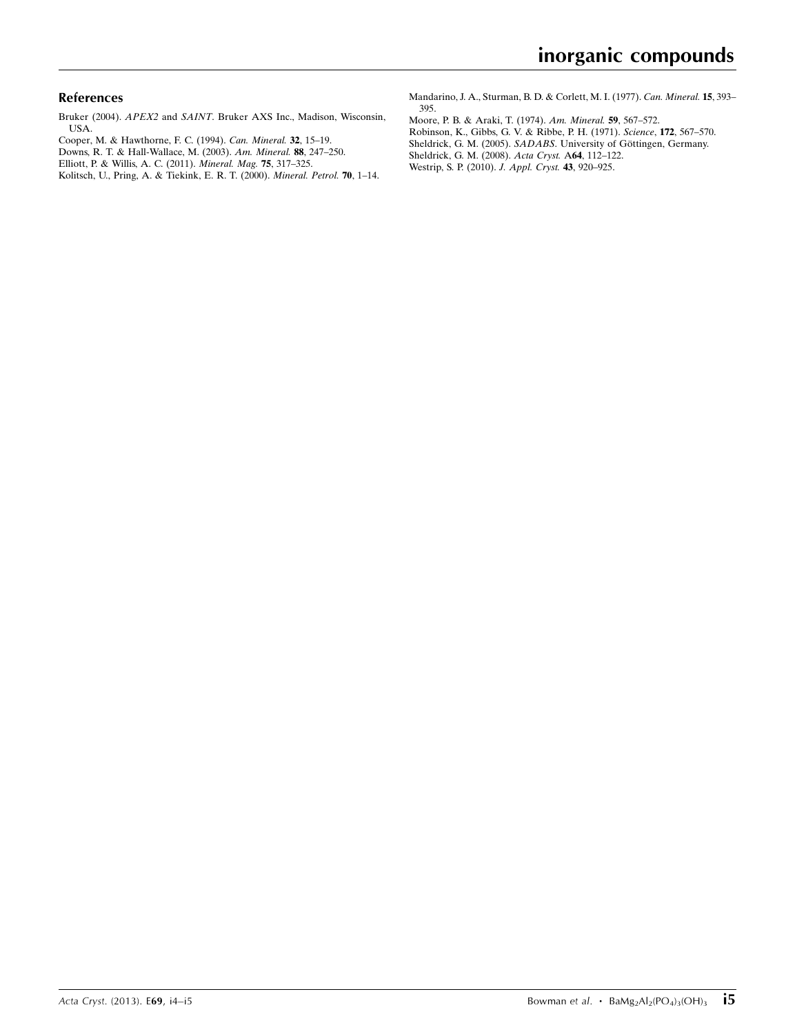### References

- Bruker (2004). APEX2 and SAINT[. Bruker AXS Inc., Madison, Wisconsin,](https://scripts.iucr.org/cgi-bin/cr.cgi?rm=pdfbb&cnor=hb7009&bbid=BB1) [USA.](https://scripts.iucr.org/cgi-bin/cr.cgi?rm=pdfbb&cnor=hb7009&bbid=BB1)
- [Cooper, M. & Hawthorne, F. C. \(1994\).](https://scripts.iucr.org/cgi-bin/cr.cgi?rm=pdfbb&cnor=hb7009&bbid=BB2) Can. Mineral. 32, 15–19.
- [Downs, R. T. & Hall-Wallace, M. \(2003\).](https://scripts.iucr.org/cgi-bin/cr.cgi?rm=pdfbb&cnor=hb7009&bbid=BB3) Am. Mineral. 88, 247–250.
- [Elliott, P. & Willis, A. C. \(2011\).](https://scripts.iucr.org/cgi-bin/cr.cgi?rm=pdfbb&cnor=hb7009&bbid=BB4) Mineral. Mag. 75, 317–325.
- [Kolitsch, U., Pring, A. & Tiekink, E. R. T. \(2000\).](https://scripts.iucr.org/cgi-bin/cr.cgi?rm=pdfbb&cnor=hb7009&bbid=BB5) Mineral. Petrol. 70, 1–14.

[Mandarino, J. A., Sturman, B. D. & Corlett, M. I. \(1977\).](https://scripts.iucr.org/cgi-bin/cr.cgi?rm=pdfbb&cnor=hb7009&bbid=BB6) Can. Mineral. 15, 393– [395.](https://scripts.iucr.org/cgi-bin/cr.cgi?rm=pdfbb&cnor=hb7009&bbid=BB6)

- [Moore, P. B. & Araki, T. \(1974\).](https://scripts.iucr.org/cgi-bin/cr.cgi?rm=pdfbb&cnor=hb7009&bbid=BB7) Am. Mineral. 59, 567–572.
- [Robinson, K., Gibbs, G. V. & Ribbe, P. H. \(1971\).](https://scripts.iucr.org/cgi-bin/cr.cgi?rm=pdfbb&cnor=hb7009&bbid=BB8) Science, 172, 567–570.
- Sheldrick, G. M. (2005). SADABS. University of Göttingen, Germany.
- [Sheldrick, G. M. \(2008\).](https://scripts.iucr.org/cgi-bin/cr.cgi?rm=pdfbb&cnor=hb7009&bbid=BB10) Acta Cryst. A64, 112–122.
- [Westrip, S. P. \(2010\).](https://scripts.iucr.org/cgi-bin/cr.cgi?rm=pdfbb&cnor=hb7009&bbid=BB11) J. Appl. Cryst. 43, 920–925.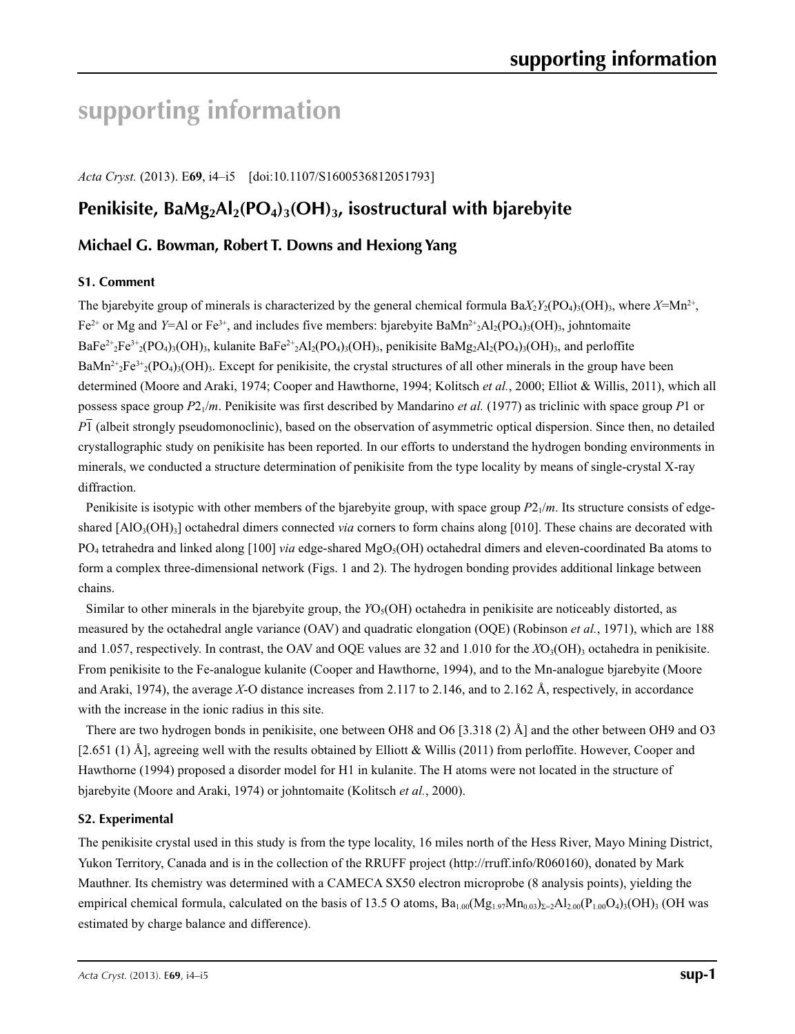# **supporting information**

*Acta Cryst.* (2013). E**69**, i4–i5 [doi:10.1107/S1600536812051793]

### Penikisite, BaMg<sub>2</sub>Al<sub>2</sub>(PO<sub>4</sub>)<sub>3</sub>(OH)<sub>3</sub>, isostructural with bjarebyite

### **Michael G. Bowman, Robert T. Downs and Hexiong Yang**

### **S1. Comment**

The bjarebyite group of minerals is characterized by the general chemical formula  $Ba_{2}Y_{2}(PO_{4})_{3}(OH)_{3}$ , where  $X=Mn^{2+}$ , Fe<sup>2+</sup> or Mg and *Y*=Al or Fe<sup>3+</sup>, and includes five members: bjarebyite BaMn<sup>2+</sup><sub>2</sub>Al<sub>2</sub>(PO<sub>4</sub>)<sub>3</sub>(OH)<sub>3</sub>, johntomaite  $BaFe<sup>2+</sup>2Fe<sup>3+</sup>2$ (PO<sub>4</sub>)<sub>3</sub>(OH)<sub>3</sub>, kulanite BaFe<sup>2+</sup>2A<sub>2</sub>(PO<sub>4</sub>)<sub>3</sub>(OH)<sub>3</sub>, penikisite BaMg<sub>2</sub>A<sub>2</sub>(PO<sub>4</sub>)<sub>3</sub>(OH)<sub>3</sub>, and perloffite $BaMn^{2+}{}_{2}Fe^{3+}{}_{2}(PO_4)_{3}(OH)_{3}$ . Except for penikisite, the crystal structures of all other minerals in the group have been determined (Moore and Araki, 1974; Cooper and Hawthorne, 1994; Kolitsch *et al.*, 2000; Elliot & Willis, 2011), which all possess space group *P*21/*m*. Penikisite was first described by Mandarino *et al.* (1977) as triclinic with space group *P*1 or *P*1 (albeit strongly pseudomonoclinic), based on the observation of asymmetric optical dispersion. Since then, no detailed crystallographic study on penikisite has been reported. In our efforts to understand the hydrogen bonding environments in minerals, we conducted a structure determination of penikisite from the type locality by means of single-crystal X-ray diffraction.

Penikisite is isotypic with other members of the bjarebyite group, with space group  $P2_1/m$ . Its structure consists of edgeshared [AlO<sub>3</sub>(OH)<sub>3</sub>] octahedral dimers connected *via* corners to form chains along [010]. These chains are decorated with  $PO_4$  tetrahedra and linked along [100] *via* edge-shared MgO<sub>5</sub>(OH) octahedral dimers and eleven-coordinated Ba atoms to form a complex three-dimensional network (Figs. 1 and 2). The hydrogen bonding provides additional linkage between chains.

Similar to other minerals in the bjarebyite group, the *YO<sub>5</sub>*(OH) octahedra in penikisite are noticeably distorted, as measured by the octahedral angle variance (OAV) and quadratic elongation (OQE) (Robinson *et al.*, 1971), which are 188 and 1.057, respectively. In contrast, the OAV and OQE values are 32 and 1.010 for the  $XO<sub>3</sub>(OH)$ <sub>3</sub> octahedra in penikisite. From penikisite to the Fe-analogue kulanite (Cooper and Hawthorne, 1994), and to the Mn-analogue bjarebyite (Moore and Araki, 1974), the average *X*-O distance increases from 2.117 to 2.146, and to 2.162 Å, respectively, in accordance with the increase in the ionic radius in this site.

There are two hydrogen bonds in penikisite, one between OH8 and O6 [3.318 (2) Å] and the other between OH9 and O3 [2.651 (1) Å], agreeing well with the results obtained by Elliott & Willis (2011) from perloffite. However, Cooper and Hawthorne (1994) proposed a disorder model for H1 in kulanite. The H atoms were not located in the structure of bjarebyite (Moore and Araki, 1974) or johntomaite (Kolitsch *et al.*, 2000).

### **S2. Experimental**

The penikisite crystal used in this study is from the type locality, 16 miles north of the Hess River, Mayo Mining District, Yukon Territory, Canada and is in the collection of the RRUFF project (http://rruff.info/R060160), donated by Mark Mauthner. Its chemistry was determined with a CAMECA SX50 electron microprobe (8 analysis points), yielding the empirical chemical formula, calculated on the basis of 13.5 O atoms,  $Ba_{1.00}(Mg_{1.97}Mn_{0.03})_{\Sigma=2}Al_{2.00}(P_{1.00}O_4)_3(OH)_{3}$  (OH was estimated by charge balance and difference).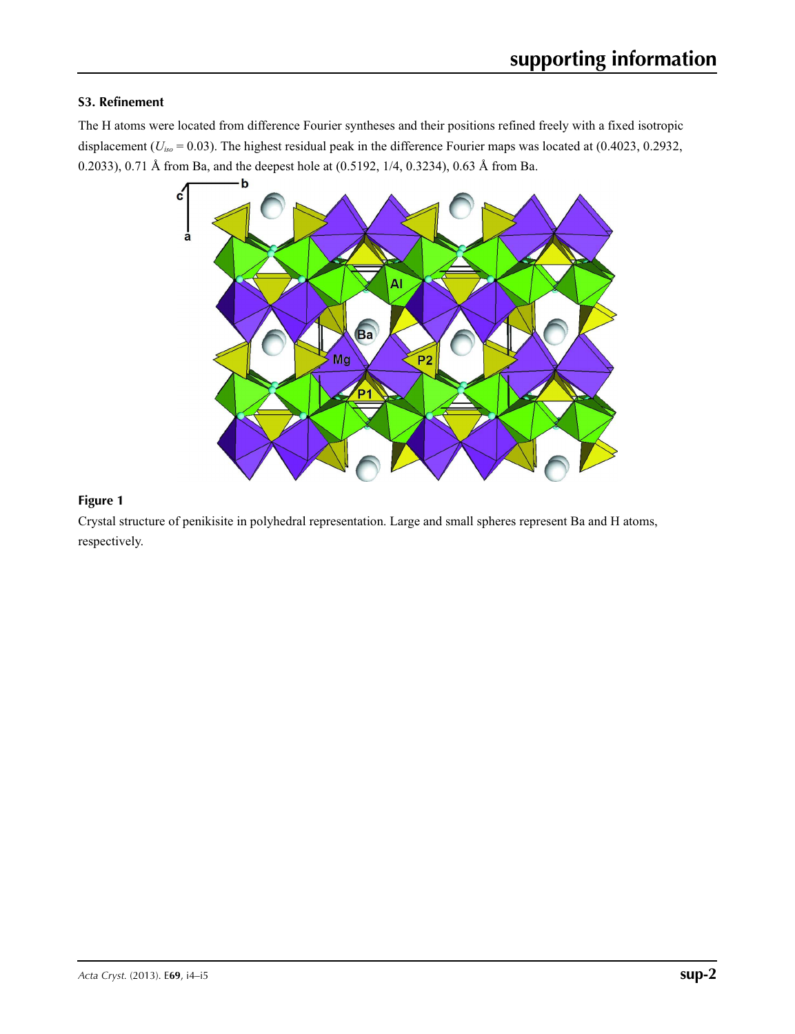### **S3. Refinement**

The H atoms were located from difference Fourier syntheses and their positions refined freely with a fixed isotropic displacement ( $U_{iso}$  = 0.03). The highest residual peak in the difference Fourier maps was located at (0.4023, 0.2932, 0.2033), 0.71 Å from Ba, and the deepest hole at (0.5192, 1/4, 0.3234), 0.63 Å from Ba.



### **Figure 1**

Crystal structure of penikisite in polyhedral representation. Large and small spheres represent Ba and H atoms, respectively.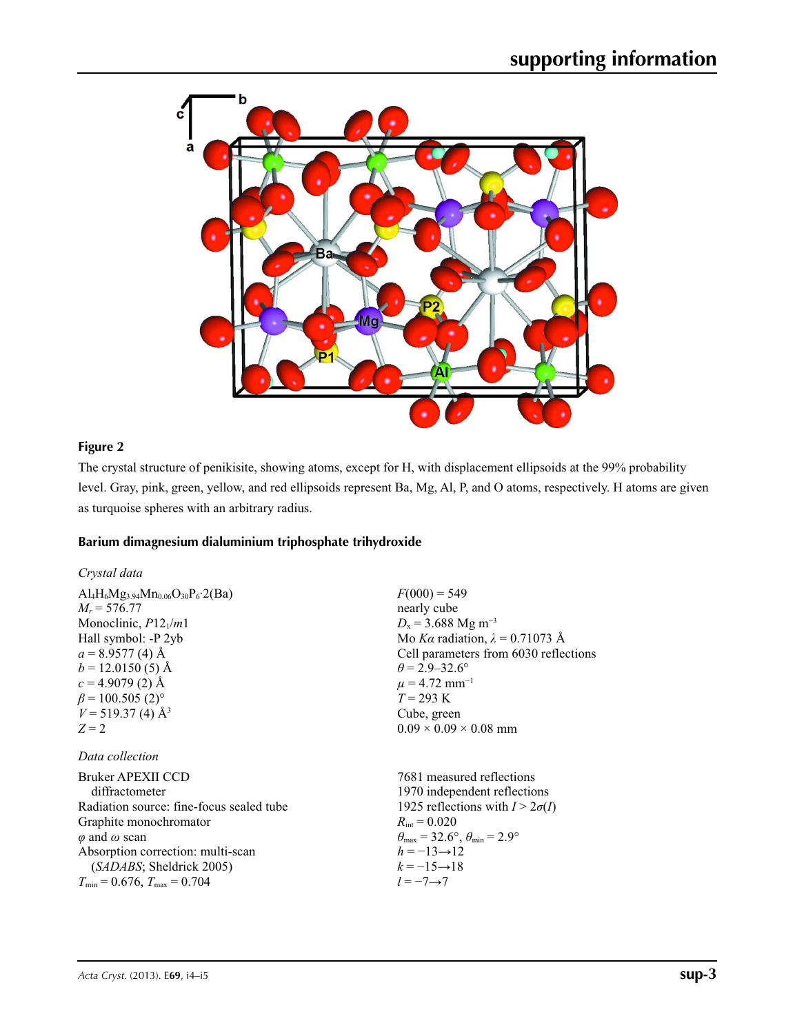

### **Figure 2**

The crystal structure of penikisite, showing atoms, except for H, with displacement ellipsoids at the 99% probability level. Gray, pink, green, yellow, and red ellipsoids represent Ba, Mg, Al, P, and O atoms, respectively. H atoms are given as turquoise spheres with an arbitrary radius.

### **Barium dimagnesium dialuminium triphosphate trihydroxide**

| Crystal data                                                                                                                                                                                                                                                                                                      |                                                                                                                                                                                                                                                                                              |
|-------------------------------------------------------------------------------------------------------------------------------------------------------------------------------------------------------------------------------------------------------------------------------------------------------------------|----------------------------------------------------------------------------------------------------------------------------------------------------------------------------------------------------------------------------------------------------------------------------------------------|
| $\text{Al}_4\text{H}_6\text{Mg}_{3.94}\text{Mn}_{0.06}\text{O}_{30}\text{P}_6.2\text{(Ba)}$<br>$M_r = 576.77$<br>Monoclinic, $P12_1/m1$<br>Hall symbol: -P 2yb<br>$a = 8.9577(4)$ Å<br>$b = 12.0150(5)$ Å<br>$c = 4.9079(2)$ Å<br>$\beta$ = 100.505 (2) <sup>o</sup><br>$V = 519.37(4)$ Å <sup>3</sup><br>$Z = 2$ | $F(000) = 549$<br>nearly cube<br>$D_x$ = 3.688 Mg m <sup>-3</sup><br>Mo Ka radiation, $\lambda = 0.71073$ Å<br>Cell parameters from 6030 reflections<br>$\theta$ = 2.9–32.6°<br>$\mu = 4.72$ mm <sup>-1</sup><br>$T = 293 \text{ K}$<br>Cube, green<br>$0.09 \times 0.09 \times 0.08$ mm     |
| Data collection                                                                                                                                                                                                                                                                                                   |                                                                                                                                                                                                                                                                                              |
| Bruker APEXII CCD<br>diffractometer<br>Radiation source: fine-focus sealed tube<br>Graphite monochromator<br>$\varphi$ and $\omega$ scan<br>Absorption correction: multi-scan<br>(SADABS; Sheldrick 2005)<br>$T_{\min} = 0.676$ , $T_{\max} = 0.704$                                                              | 7681 measured reflections<br>1970 independent reflections<br>1925 reflections with $I > 2\sigma(I)$<br>$R_{\text{int}} = 0.020$<br>$\theta_{\text{max}} = 32.6^{\circ}, \theta_{\text{min}} = 2.9^{\circ}$<br>$h = -13 \rightarrow 12$<br>$k = -15 \rightarrow 18$<br>$l = -7 \rightarrow 7$ |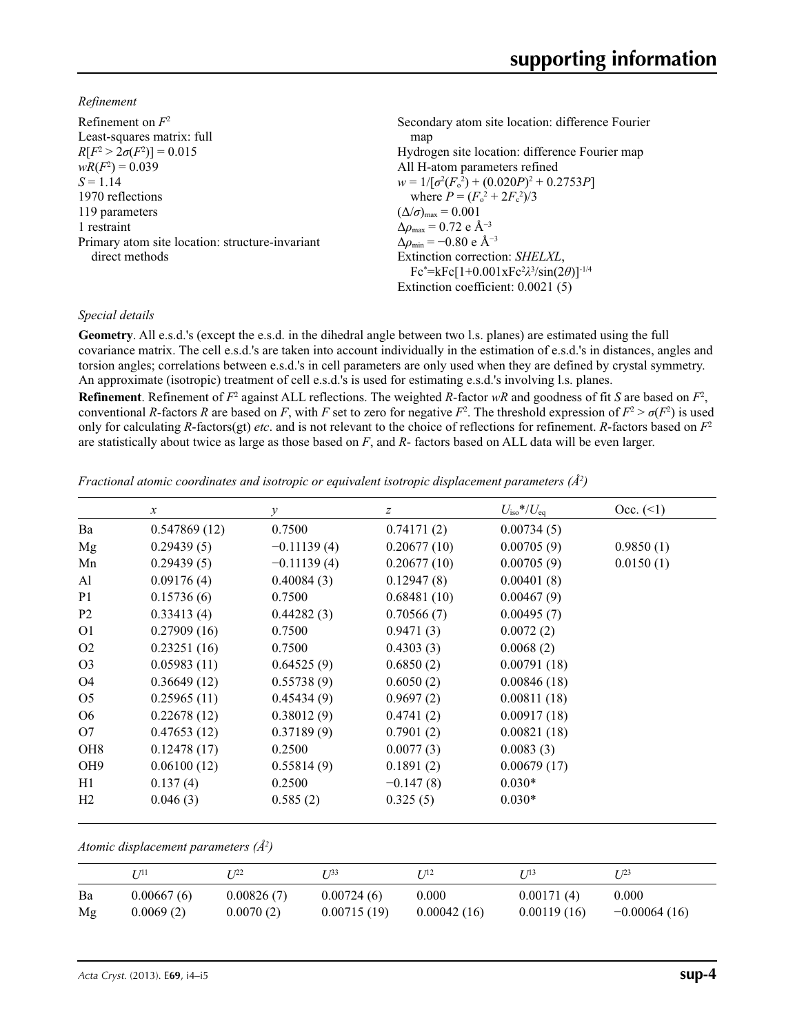*Refinement*

| Refinement on $F^2$                             | Secondary atom site location: difference Fourier             |
|-------------------------------------------------|--------------------------------------------------------------|
| Least-squares matrix: full                      | map                                                          |
| $R[F^2 > 2\sigma(F^2)] = 0.015$                 | Hydrogen site location: difference Fourier map               |
| $wR(F^2) = 0.039$                               | All H-atom parameters refined                                |
| $S = 1.14$                                      | $w = 1/[\sigma^2(F_0^2) + (0.020P)^2 + 0.2753P]$             |
| 1970 reflections                                | where $P = (F_o^2 + 2F_c^2)/3$                               |
| 119 parameters                                  | $(\Delta/\sigma)_{\text{max}} = 0.001$                       |
| 1 restraint                                     | $\Delta \rho_{\text{max}} = 0.72 \text{ e } \text{\AA}^{-3}$ |
| Primary atom site location: structure-invariant | $\Delta\rho_{\rm min} = -0.80 \text{ e A}^{-3}$              |
| direct methods                                  | Extinction correction: SHELXL,                               |
|                                                 | $Fc^* = kFc[1+0.001xFc^2\lambda^3/sin(2\theta)]^{-1/4}$      |
|                                                 | Extinction coefficient: $0.0021(5)$                          |

### *Special details*

**Geometry**. All e.s.d.'s (except the e.s.d. in the dihedral angle between two l.s. planes) are estimated using the full covariance matrix. The cell e.s.d.'s are taken into account individually in the estimation of e.s.d.'s in distances, angles and torsion angles; correlations between e.s.d.'s in cell parameters are only used when they are defined by crystal symmetry. An approximate (isotropic) treatment of cell e.s.d.'s is used for estimating e.s.d.'s involving l.s. planes.

**Refinement**. Refinement of  $F^2$  against ALL reflections. The weighted *R*-factor  $wR$  and goodness of fit *S* are based on  $F^2$ , conventional *R*-factors *R* are based on *F*, with *F* set to zero for negative  $F^2$ . The threshold expression of  $F^2 > \sigma(F^2)$  is used only for calculating *R*-factors(gt) *etc*. and is not relevant to the choice of reflections for refinement. *R*-factors based on *F*<sup>2</sup> are statistically about twice as large as those based on *F*, and *R*- factors based on ALL data will be even larger.

*Fractional atomic coordinates and isotropic or equivalent isotropic displacement parameters (Å<sup>2</sup>)* 

|                 | $\mathcal{X}$ | $\mathcal{Y}$ | z           | $U_{\rm iso}*/U_{\rm eq}$ | Occ. (2)  |
|-----------------|---------------|---------------|-------------|---------------------------|-----------|
| Ba              | 0.547869(12)  | 0.7500        | 0.74171(2)  | 0.00734(5)                |           |
| Mg              | 0.29439(5)    | $-0.11139(4)$ | 0.20677(10) | 0.00705(9)                | 0.9850(1) |
| Mn              | 0.29439(5)    | $-0.11139(4)$ | 0.20677(10) | 0.00705(9)                | 0.0150(1) |
| Al              | 0.09176(4)    | 0.40084(3)    | 0.12947(8)  | 0.00401(8)                |           |
| P <sub>1</sub>  | 0.15736(6)    | 0.7500        | 0.68481(10) | 0.00467(9)                |           |
| P <sub>2</sub>  | 0.33413(4)    | 0.44282(3)    | 0.70566(7)  | 0.00495(7)                |           |
| O <sub>1</sub>  | 0.27909(16)   | 0.7500        | 0.9471(3)   | 0.0072(2)                 |           |
| O <sub>2</sub>  | 0.23251(16)   | 0.7500        | 0.4303(3)   | 0.0068(2)                 |           |
| O <sub>3</sub>  | 0.05983(11)   | 0.64525(9)    | 0.6850(2)   | 0.00791(18)               |           |
| O4              | 0.36649(12)   | 0.55738(9)    | 0.6050(2)   | 0.00846(18)               |           |
| O <sub>5</sub>  | 0.25965(11)   | 0.45434(9)    | 0.9697(2)   | 0.00811(18)               |           |
| O <sub>6</sub>  | 0.22678(12)   | 0.38012(9)    | 0.4741(2)   | 0.00917(18)               |           |
| O7              | 0.47653(12)   | 0.37189(9)    | 0.7901(2)   | 0.00821(18)               |           |
| OH <sub>8</sub> | 0.12478(17)   | 0.2500        | 0.0077(3)   | 0.0083(3)                 |           |
| OH <sub>9</sub> | 0.06100(12)   | 0.55814(9)    | 0.1891(2)   | 0.00679(17)               |           |
| H1              | 0.137(4)      | 0.2500        | $-0.147(8)$ | $0.030*$                  |           |
| H <sub>2</sub>  | 0.046(3)      | 0.585(2)      | 0.325(5)    | $0.030*$                  |           |

*Atomic displacement parameters (Å2 )*

|    | T/11       | T 122      | T 133       | T 712       | T 713       | I/23           |
|----|------------|------------|-------------|-------------|-------------|----------------|
| Ba | 0.00667(6) | 0.00826(7) | 0.00724(6)  | 0.000       | 0.00171(4)  | 0.000          |
| Mg | 0.0069(2)  | 0.0070(2)  | 0.00715(19) | 0.00042(16) | 0.00119(16) | $-0.00064(16)$ |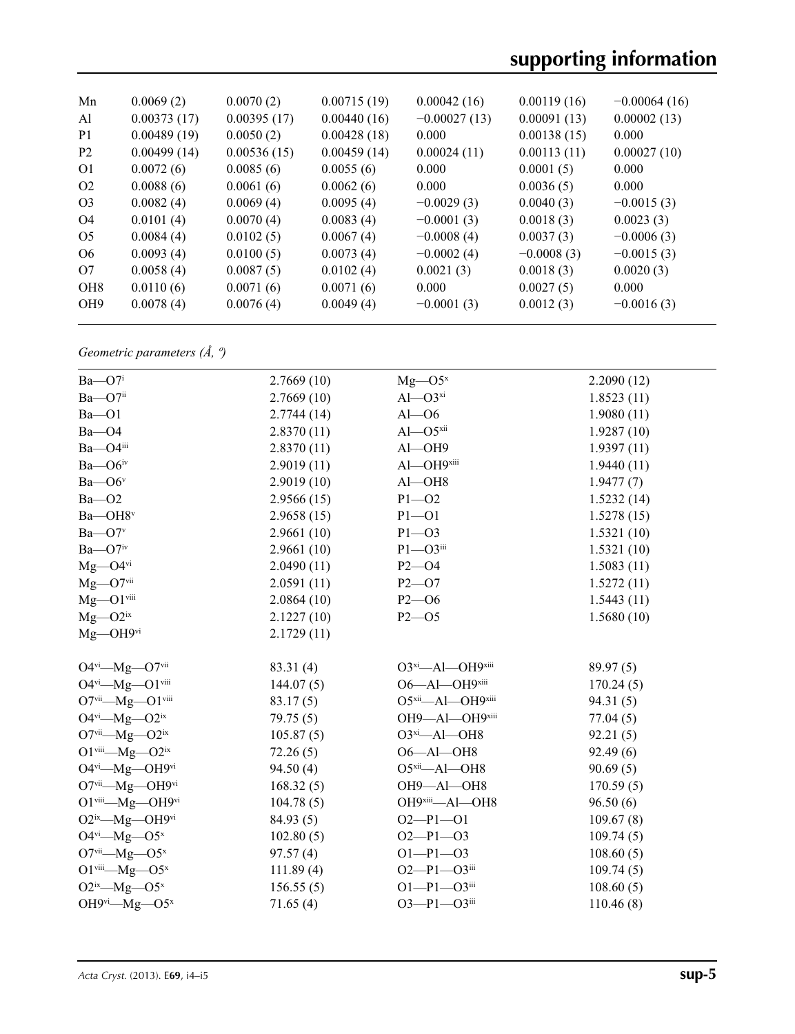| Mn              | 0.0069(2)   | 0.0070(2)   | 0.00715(19) | 0.00042(16)    | 0.00119(16)  | $-0.00064(16)$ |
|-----------------|-------------|-------------|-------------|----------------|--------------|----------------|
| Al              | 0.00373(17) | 0.00395(17) | 0.00440(16) | $-0.00027(13)$ | 0.00091(13)  | 0.00002(13)    |
| P <sub>1</sub>  | 0.00489(19) | 0.0050(2)   | 0.00428(18) | 0.000          | 0.00138(15)  | 0.000          |
| P <sub>2</sub>  | 0.00499(14) | 0.00536(15) | 0.00459(14) | 0.00024(11)    | 0.00113(11)  | 0.00027(10)    |
| 01              | 0.0072(6)   | 0.0085(6)   | 0.0055(6)   | 0.000          | 0.0001(5)    | 0.000          |
| O <sub>2</sub>  | 0.0088(6)   | 0.0061(6)   | 0.0062(6)   | 0.000          | 0.0036(5)    | 0.000          |
| O <sub>3</sub>  | 0.0082(4)   | 0.0069(4)   | 0.0095(4)   | $-0.0029(3)$   | 0.0040(3)    | $-0.0015(3)$   |
| O4              | 0.0101(4)   | 0.0070(4)   | 0.0083(4)   | $-0.0001(3)$   | 0.0018(3)    | 0.0023(3)      |
| O <sub>5</sub>  | 0.0084(4)   | 0.0102(5)   | 0.0067(4)   | $-0.0008(4)$   | 0.0037(3)    | $-0.0006(3)$   |
| O <sub>6</sub>  | 0.0093(4)   | 0.0100(5)   | 0.0073(4)   | $-0.0002(4)$   | $-0.0008(3)$ | $-0.0015(3)$   |
| O7              | 0.0058(4)   | 0.0087(5)   | 0.0102(4)   | 0.0021(3)      | 0.0018(3)    | 0.0020(3)      |
| OH <sub>8</sub> | 0.0110(6)   | 0.0071(6)   | 0.0071(6)   | 0.000          | 0.0027(5)    | 0.000          |
| OH <sub>9</sub> | 0.0078(4)   | 0.0076(4)   | 0.0049(4)   | $-0.0001(3)$   | 0.0012(3)    | $-0.0016(3)$   |
|                 |             |             |             |                |              |                |

*Geometric parameters (Å, º)*

| $Ba$ — $O7i$                                              | 2.7669(10) | $Mg$ —O5 <sup>x</sup>      | 2.2090(12) |
|-----------------------------------------------------------|------------|----------------------------|------------|
| $Ba$ — $O7$ <sup>ii</sup>                                 | 2.7669(10) | $Al$ - $O3^{xi}$           | 1.8523(11) |
| $Ba$ – $O1$                                               | 2.7744(14) | $Al$ — $O6$                | 1.9080(11) |
| $Ba$ $-$ O4                                               | 2.8370(11) | $Al$ - $O5$ <sup>xii</sup> | 1.9287(10) |
| Ba-O4iii                                                  | 2.8370(11) | $Al$ -OH9                  | 1.9397(11) |
| $Ba$ — $O6$ <sup>iv</sup>                                 | 2.9019(11) | Al-OH9xiii                 | 1.9440(11) |
| Ba-O6 <sup>v</sup>                                        | 2.9019(10) | $Al$ $-OH8$                | 1.9477(7)  |
| $Ba - O2$                                                 | 2.9566(15) | $P1 - O2$                  | 1.5232(14) |
| Ba-OH8v                                                   | 2.9658(15) | $P1 - O1$                  | 1.5278(15) |
| $Ba$ — $O7v$                                              | 2.9661(10) | $P1 - O3$                  | 1.5321(10) |
| $Ba$ —O7iv                                                | 2.9661(10) | $P1 - O3$ iii              | 1.5321(10) |
| $Mg$ —O4 $v$ i                                            | 2.0490(11) | $P2 - O4$                  | 1.5083(11) |
| $Mg$ —O7vii                                               | 2.0591(11) | $P2 - O7$                  | 1.5272(11) |
| $Mg$ -O1 $v$ iii                                          | 2.0864(10) | $P2 - 06$                  | 1.5443(11) |
| $Mg$ — $O2^{ix}$                                          | 2.1227(10) | $P2 - 05$                  | 1.5680(10) |
| $Mg$ —OH9vi                                               | 2.1729(11) |                            |            |
|                                                           |            |                            |            |
| O4vi-Mg-O7vii                                             | 83.31 (4)  | O3xi-Al-OH9xiii            | 89.97(5)   |
| O4vi-Mg-O1viii                                            | 144.07(5)  | O6-Al-OH9xiii              | 170.24(5)  |
| O7vii-Mg-O1viii                                           | 83.17(5)   | O5xii-Al-OH9xiii           | 94.31(5)   |
| $O4^{vi}$ — $Mg$ — $O2^{ix}$                              | 79.75(5)   | OH9-Al-OH9xiii             | 77.04(5)   |
| O7vii—Mg—O2ix                                             | 105.87(5)  | $O3^{xi}$ -Al-OH8          | 92.21(5)   |
| O1 $\text{viii}\text{---}\text{Mg}\text{---}\text{O2}$ ix | 72.26(5)   | $O6 - Al - OH8$            | 92.49(6)   |
| O4vi-Mg-OH9vi                                             | 94.50(4)   | O5xii-Al-OH8               | 90.69(5)   |
| O7vii-Mg-OH9vi                                            | 168.32(5)  | OH9-Al-OH8                 | 170.59(5)  |
| O1viii-Mg-OH9vi                                           | 104.78(5)  | OH9xiii-Al-OH8             | 96.50(6)   |
| O2ix-Mg-OH9vi                                             | 84.93(5)   | $O2-P1-O1$                 | 109.67(8)  |
| $O4^{vi}$ —Mg— $O5^x$                                     | 102.80(5)  | $O2-P1-O3$                 | 109.74(5)  |
| $O7$ <sup>vii</sup> —Mg—O5 <sup>x</sup>                   | 97.57(4)   | $O1-P1-O3$                 | 108.60(5)  |
| O1 $viii$ —Mg—O5 <sup>x</sup>                             | 111.89(4)  | $O2-P1-O3$ iii             | 109.74(5)  |
| $O2^{ix}$ —Mg— $O5^x$                                     | 156.55(5)  | $O1 - P1 - O3$ iii         | 108.60(5)  |
| OH9vi- $Mg$ -O5 <sup>x</sup>                              | 71.65(4)   | $O3 - P1 - O3$ iii         | 110.46(8)  |
|                                                           |            |                            |            |